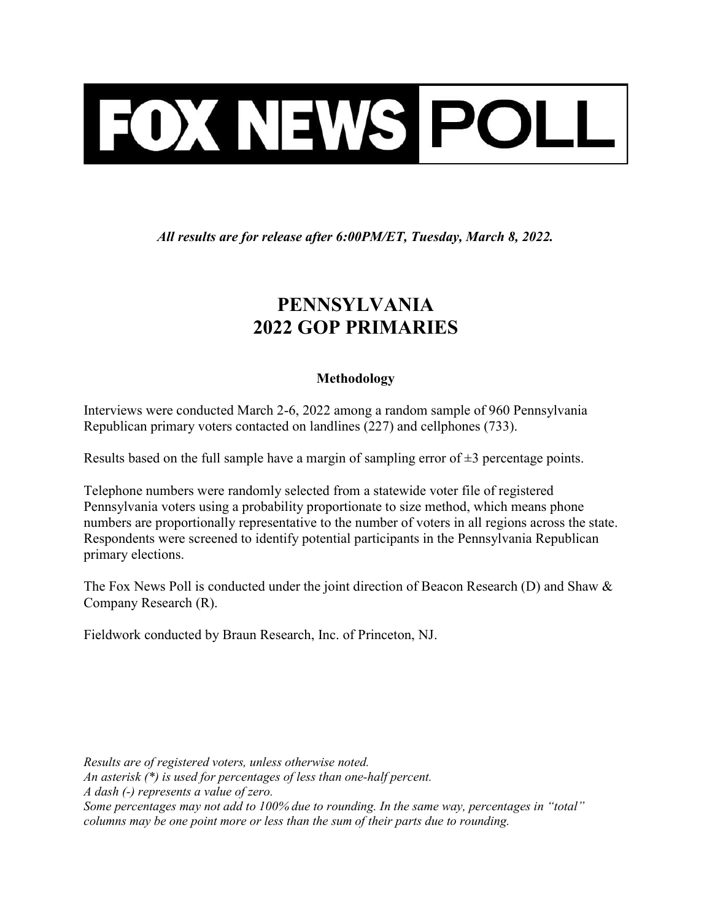

All results are for release after 6:00PM/ET, Tuesday, March 8, 2022.

## PENNSYLVANIA 2022 GOP PRIMARIES

## Methodology

Interviews were conducted March 2-6, 2022 among a random sample of 960 Pennsylvania Republican primary voters contacted on landlines (227) and cellphones (733).

Results based on the full sample have a margin of sampling error of  $\pm 3$  percentage points.

Telephone numbers were randomly selected from a statewide voter file of registered Pennsylvania voters using a probability proportionate to size method, which means phone numbers are proportionally representative to the number of voters in all regions across the state. Respondents were screened to identify potential participants in the Pennsylvania Republican primary elections.

The Fox News Poll is conducted under the joint direction of Beacon Research (D) and Shaw & Company Research (R).

Fieldwork conducted by Braun Research, Inc. of Princeton, NJ.

Results are of registered voters, unless otherwise noted. An asterisk (\*) is used for percentages of less than one-half percent. A dash (-) represents a value of zero. Some percentages may not add to 100% due to rounding. In the same way, percentages in "total" columns may be one point more or less than the sum of their parts due to rounding.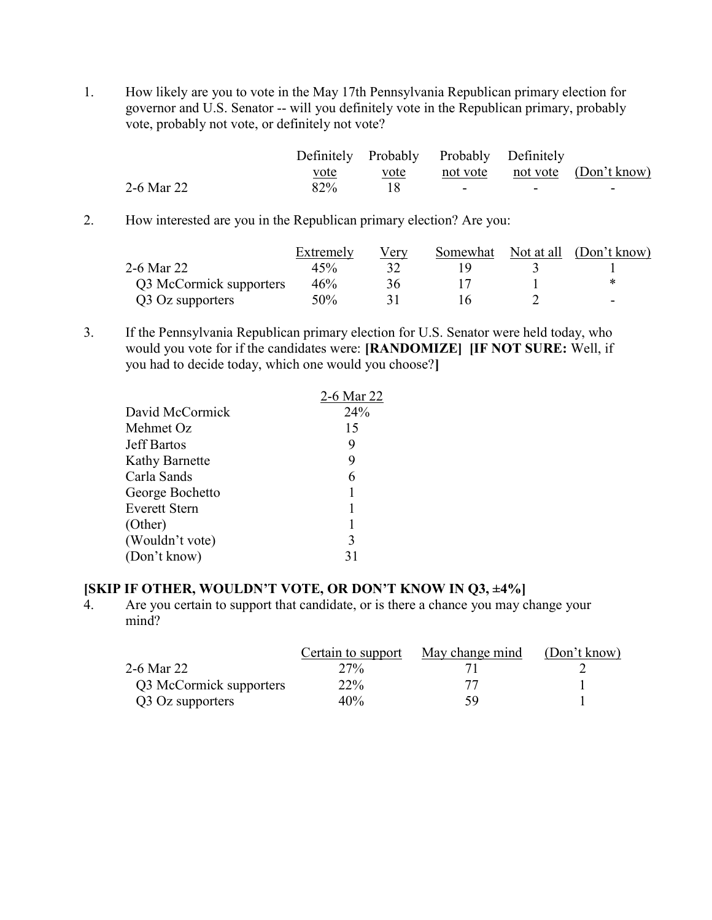1. How likely are you to vote in the May 17th Pennsylvania Republican primary election for governor and U.S. Senator -- will you definitely vote in the Republican primary, probably vote, probably not vote, or definitely not vote?

|            |      |      | Definitely Probably Probably Definitely |                          |                                |
|------------|------|------|-----------------------------------------|--------------------------|--------------------------------|
|            | vote | vote |                                         |                          | not vote not vote (Don't know) |
| 2-6 Mar 22 | 82%  |      | -                                       | $\overline{\phantom{a}}$ | -                              |

2. How interested are you in the Republican primary election? Are you:

|                         | Extremely | V erv | Somewhat | Not at all (Don't know) |
|-------------------------|-----------|-------|----------|-------------------------|
| 2-6 Mar 22              | 45%       |       |          |                         |
| Q3 McCormick supporters | 46%       | 36    |          |                         |
| Q3 Oz supporters        | $50\%$    |       |          | -                       |

3. If the Pennsylvania Republican primary election for U.S. Senator were held today, who would you vote for if the candidates were: [RANDOMIZE] [IF NOT SURE: Well, if you had to decide today, which one would you choose?]

|                       | 2-6 Mar 22 |
|-----------------------|------------|
| David McCormick       | 24%        |
| Mehmet Oz             | 15         |
| <b>Jeff Bartos</b>    | 9          |
| <b>Kathy Barnette</b> | 9          |
| Carla Sands           | 6          |
| George Bochetto       |            |
| <b>Everett Stern</b>  |            |
| (Other)               |            |
| (Wouldn't vote)       | 3          |
| (Don't know)          | 31         |

## [SKIP IF OTHER, WOULDN'T VOTE, OR DON'T KNOW IN Q3, ±4%]

4. Are you certain to support that candidate, or is there a chance you may change your mind?

|                         | Certain to support | May change mind | (Don't know) |
|-------------------------|--------------------|-----------------|--------------|
| 2-6 Mar 22              | $27\%$             |                 |              |
| Q3 McCormick supporters | 22%                |                 |              |
| Q3 Oz supporters        | 40%                | 59              |              |